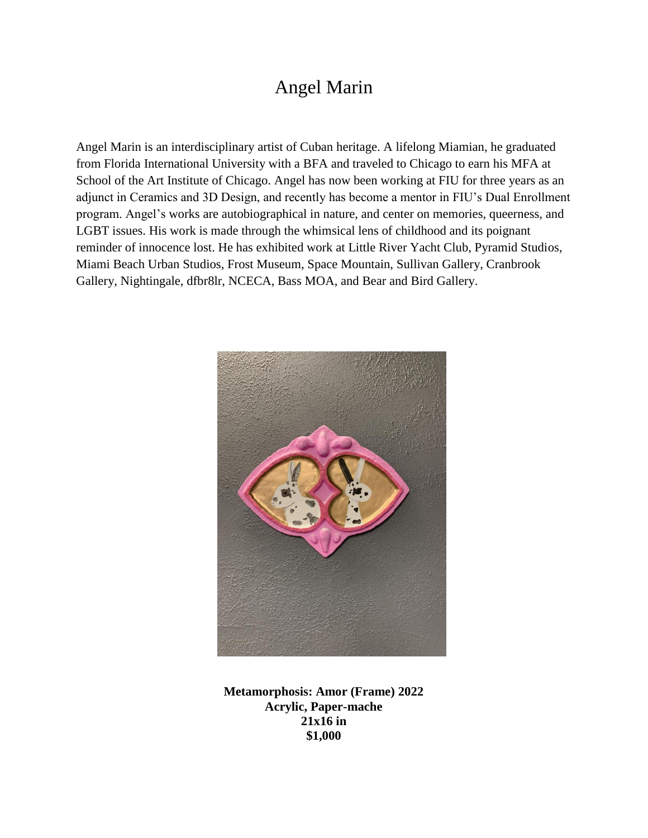## Angel Marin

Angel Marin is an interdisciplinary artist of Cuban heritage. A lifelong Miamian, he graduated from Florida International University with a BFA and traveled to Chicago to earn his MFA at School of the Art Institute of Chicago. Angel has now been working at FIU for three years as an adjunct in Ceramics and 3D Design, and recently has become a mentor in FIU's Dual Enrollment program. Angel's works are autobiographical in nature, and center on memories, queerness, and LGBT issues. His work is made through the whimsical lens of childhood and its poignant reminder of innocence lost. He has exhibited work at Little River Yacht Club, Pyramid Studios, Miami Beach Urban Studios, Frost Museum, Space Mountain, Sullivan Gallery, Cranbrook Gallery, Nightingale, dfbr8lr, NCECA, Bass MOA, and Bear and Bird Gallery.



**Metamorphosis: Amor (Frame) 2022 Acrylic, Paper-mache 21x16 in \$1,000**